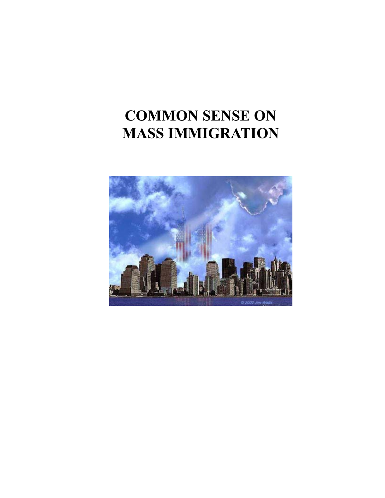# **COMMON SENSE ON MASS IMMIGRATION**

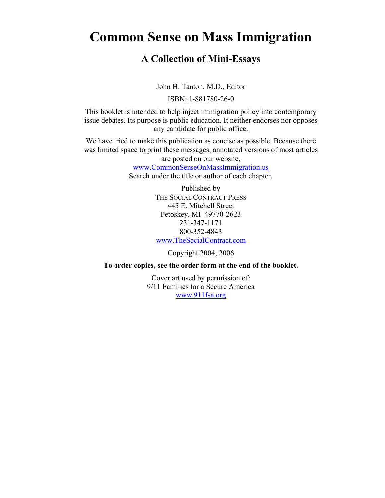# **Common Sense on Mass Immigration**

#### **A Collection of Mini-Essays**

John H. Tanton, M.D., Editor

ISBN: 1-881780-26-0

This booklet is intended to help inject immigration policy into contemporary issue debates. Its purpose is public education. It neither endorses nor opposes any candidate for public office.

We have tried to make this publication as concise as possible. Because there was limited space to print these messages, annotated versions of most articles are posted on our website,

[www.CommonSenseOnMassImmigration.us](http://www.commonsenseonmassimmigration.us/)

Search under the title or author of each chapter.

Published by THE SOCIAL CONTRACT PRESS 445 E. Mitchell Street Petoskey, MI 49770-2623 231-347-1171 800-352-4843 [www.TheSocialContract.com](http://www.thesocialcontract.com/) 

Copyright 2004, 2006

**To order copies, see the order form at the end of the booklet.** 

Cover art used by permission of: 9/11 Families for a Secure America [www.911fsa.org](http://www.911fsa.org/)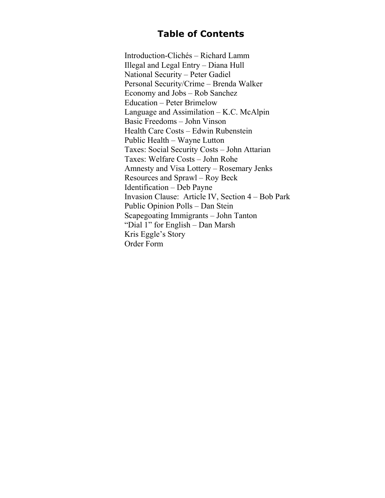## **Table of Contents**

Introduction-Clichés – Richard Lamm Illegal and Legal Entry – Diana Hull National Security – Peter Gadiel Personal Security/Crime – Brenda Walker Economy and Jobs – Rob Sanchez Education – Peter Brimelow Language and Assimilation  $-$  K.C. McAlpin Basic Freedoms – John Vinson Health Care Costs – Edwin Rubenstein Public Health – Wayne Lutton Taxes: Social Security Costs – John Attarian Taxes: Welfare Costs – John Rohe Amnesty and Visa Lottery – Rosemary Jenks Resources and Sprawl – Roy Beck Identification – Deb Payne Invasion Clause: Article IV, Section 4 – Bob Park Public Opinion Polls – Dan Stein Scapegoating Immigrants – John Tanton "Dial 1" for English – Dan Marsh Kris Eggle's Story Order Form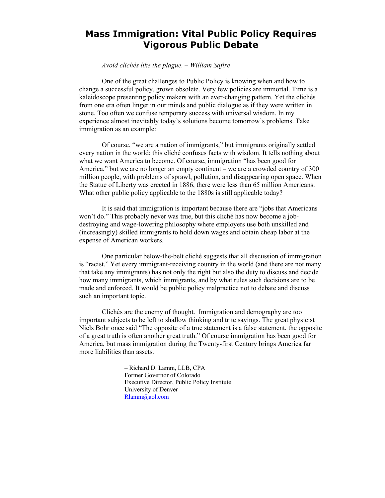#### **Mass Immigration: Vital Public Policy Requires Vigorous Public Debate**

*Avoid clichés like the plague. – William Safire* 

One of the great challenges to Public Policy is knowing when and how to change a successful policy, grown obsolete. Very few policies are immortal. Time is a kaleidoscope presenting policy makers with an ever-changing pattern. Yet the clichés from one era often linger in our minds and public dialogue as if they were written in stone. Too often we confuse temporary success with universal wisdom. In my experience almost inevitably today's solutions become tomorrow's problems. Take immigration as an example:

Of course, "we are a nation of immigrants," but immigrants originally settled every nation in the world; this cliché confuses facts with wisdom. It tells nothing about what we want America to become. Of course, immigration "has been good for America," but we are no longer an empty continent – we are a crowded country of 300 million people, with problems of sprawl, pollution, and disappearing open space. When the Statue of Liberty was erected in 1886, there were less than 65 million Americans. What other public policy applicable to the 1880s is still applicable today?

It is said that immigration is important because there are "jobs that Americans won't do." This probably never was true, but this cliché has now become a jobdestroying and wage-lowering philosophy where employers use both unskilled and (increasingly) skilled immigrants to hold down wages and obtain cheap labor at the expense of American workers.

One particular below-the-belt cliché suggests that all discussion of immigration is "racist." Yet every immigrant-receiving country in the world (and there are not many that take any immigrants) has not only the right but also the duty to discuss and decide how many immigrants, which immigrants, and by what rules such decisions are to be made and enforced. It would be public policy malpractice not to debate and discuss such an important topic.

Clichés are the enemy of thought. Immigration and demography are too important subjects to be left to shallow thinking and trite sayings. The great physicist Niels Bohr once said "The opposite of a true statement is a false statement, the opposite of a great truth is often another great truth." Of course immigration has been good for America, but mass immigration during the Twenty-first Century brings America far more liabilities than assets.

> – Richard D. Lamm, LLB, CPA Former Governor of Colorado Executive Director, Public Policy Institute University of Denver [Rlamm@aol.com](mailto:Rlamm@aol.com)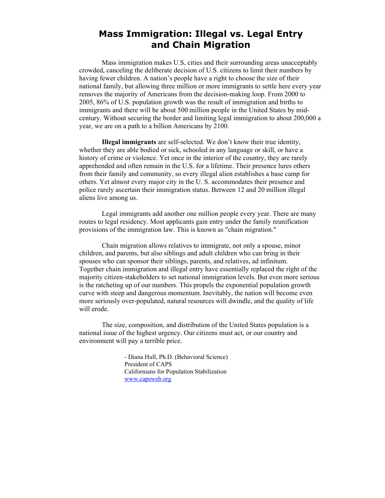#### **Mass Immigration: Illegal vs. Legal Entry and Chain Migration**

Mass immigration makes U.S, cities and their surrounding areas unacceptably crowded, canceling the deliberate decision of U.S. citizens to limit their numbers by having fewer children. A nation's people have a right to choose the size of their national family, but allowing three million or more immigrants to settle here every year removes the majority of Americans from the decision-making loop. From 2000 to 2005, 86% of U.S. population growth was the result of immigration and births to immigrants and there will be about 500 million people in the United States by midcentury. Without securing the border and limiting legal immigration to about 200,000 a year, we are on a path to a billion Americans by 2100.

**Illegal immigrants** are self-selected. We don't know their true identity, whether they are able bodied or sick, schooled in any language or skill, or have a history of crime or violence. Yet once in the interior of the country, they are rarely apprehended and often remain in the U.S. for a lifetime. Their presence lures others from their family and community, so every illegal alien establishes a base camp for others. Yet almost every major city in the U. S. accommodates their presence and police rarely ascertain their immigration status. Between 12 and 20 million illegal aliens live among us.

Legal immigrants add another one million people every year. There are many routes to legal residency. Most applicants gain entry under the family reunification provisions of the immigration law. This is known as "chain migration."

Chain migration allows relatives to immigrate, not only a spouse, minor children, and parents, but also siblings and adult children who can bring in their spouses who can sponsor their siblings, parents, and relatives, ad infinitum. Together chain immigration and illegal entry have essentially replaced the right of the majority citizen-stakeholders to set national immigration levels. But even more serious is the ratcheting up of our numbers. This propels the exponential population growth curve with steep and dangerous momentum. Inevitably, the nation will become even more seriously over-populated, natural resources will dwindle, and the quality of life will erode.

The size, composition, and distribution of the United States population is a national issue of the highest urgency. Our citizens must act, or our country and environment will pay a terrible price.

> - Diana Hull, Ph.D. (Behavioral Science) President of CAPS Californians for Population Stabilization [www.capsweb.org](http://www.capsweb.org/)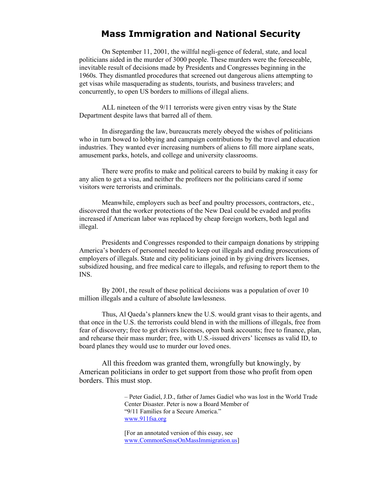#### **Mass Immigration and National Security**

On September 11, 2001, the willful negli-gence of federal, state, and local politicians aided in the murder of 3000 people. These murders were the foreseeable, inevitable result of decisions made by Presidents and Congresses beginning in the 1960s. They dismantled procedures that screened out dangerous aliens attempting to get visas while masquerading as students, tourists, and business travelers; and concurrently, to open US borders to millions of illegal aliens.

 ALL nineteen of the 9/11 terrorists were given entry visas by the State Department despite laws that barred all of them.

 In disregarding the law, bureaucrats merely obeyed the wishes of politicians who in turn bowed to lobbying and campaign contributions by the travel and education industries. They wanted ever increasing numbers of aliens to fill more airplane seats, amusement parks, hotels, and college and university classrooms.

 There were profits to make and political careers to build by making it easy for any alien to get a visa, and neither the profiteers nor the politicians cared if some visitors were terrorists and criminals.

 Meanwhile, employers such as beef and poultry processors, contractors, etc., discovered that the worker protections of the New Deal could be evaded and profits increased if American labor was replaced by cheap foreign workers, both legal and illegal.

 Presidents and Congresses responded to their campaign donations by stripping America's borders of personnel needed to keep out illegals and ending prosecutions of employers of illegals. State and city politicians joined in by giving drivers licenses, subsidized housing, and free medical care to illegals, and refusing to report them to the INS.

 By 2001, the result of these political decisions was a population of over 10 million illegals and a culture of absolute lawlessness.

 Thus, Al Qaeda's planners knew the U.S. would grant visas to their agents, and that once in the U.S. the terrorists could blend in with the millions of illegals, free from fear of discovery; free to get drivers licenses, open bank accounts; free to finance, plan, and rehearse their mass murder; free, with U.S.-issued drivers' licenses as valid ID, to board planes they would use to murder our loved ones.

 All this freedom was granted them, wrongfully but knowingly, by American politicians in order to get support from those who profit from open borders. This must stop.

> – Peter Gadiel, J.D., father of James Gadiel who was lost in the World Trade Center Disaster. Peter is now a Board Member of "9/11 Families for a Secure America." [www.911fsa.org](http://www.911fsa.org/)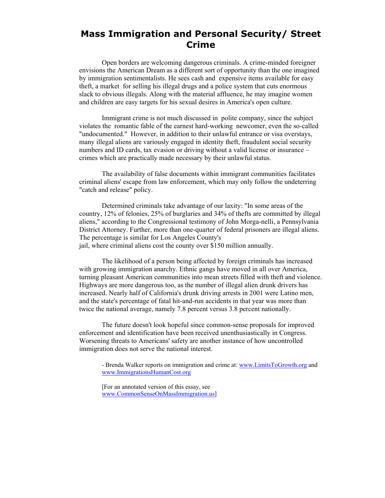#### **Mass Immigration and Personal Security/ Street Crime**

Open borders are welcoming dangerous criminals. A crime-minded foreigner envisions the American Dream as a different sort of opportunity than the one imagined by immigration sentimentalists. He sees cash and expensive items available for easy theft, a market for selling his illegal drugs and a police system that cuts enormous slack to obvious illegals. Along with the material affluence, he may imagine women and children are easy targets for his sexual desires in America's open culture.

Immigrant crime is not much discussed in polite company, since the subject violates the romantic fable of the earnest hard-working newcomer, even the so-called "undocumented." However, in addition to their unlawful entrance or visa overstays, many illegal aliens are variously engaged in identity theft, fraudulent social security numbers and ID cards, tax evasion or driving without a valid license or insurance – crimes which are practically made necessary by their unlawful status.

The availability of false documents within immigrant communities facilitates criminal aliens' escape from law enforcement, which may only follow the undeterring "catch and release" policy.

Determined criminals take advantage of our laxity: "In some areas of the country, 12% of felonies, 25% of burglaries and 34% of thefts are committed by illegal aliens," according to the Congressional testimony of John Morga-nelli, a Pennsylvania District Attorney. Further, more than one-quarter of federal prisoners are illegal aliens. The percentage is similar for Los Angeles County's jail, where criminal aliens cost the county over \$150 million annually.

The likelihood of a person being affected by foreign criminals has increased with growing immigration anarchy. Ethnic gangs have moved in all over America, turning pleasant American communities into mean streets filled with theft and violence. Highways are more dangerous too, as the number of illegal alien drunk drivers has increased. Nearly half of California's drunk driving arrests in 2001 were Latino men, and the state's percentage of fatal hit-and-run accidents in that year was more than twice the national average, namely 7.8 percent versus 3.8 percent nationally.

The future doesn't look hopeful since common-sense proposals for improved enforcement and identification have been received unenthusiastically in Congress. Worsening threats to Americans' safety are another instance of how uncontrolled immigration does not serve the national interest.

- Brenda Walker reports on immigration and crime at: [www.LimitsToGrowth.org](http://www.limitstogrowth.org/) and [www.ImmigrationsHumanCost.org](http://www.immigrationshumancost.org/)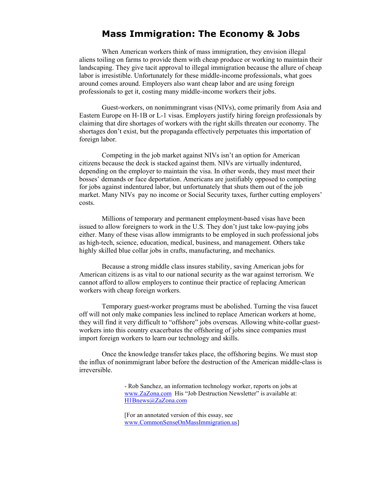#### **Mass Immigration: The Economy & Jobs**

When American workers think of mass immigration, they envision illegal aliens toiling on farms to provide them with cheap produce or working to maintain their landscaping. They give tacit approval to illegal immigration because the allure of cheap labor is irresistible. Unfortunately for these middle-income professionals, what goes around comes around. Employers also want cheap labor and are using foreign professionals to get it, costing many middle-income workers their jobs.

Guest-workers, on nonimmingrant visas (NIVs), come primarily from Asia and Eastern Europe on H-1B or L-1 visas. Employers justify hiring foreign professionals by claiming that dire shortages of workers with the right skills threaten our economy. The shortages don't exist, but the propaganda effectively perpetuates this importation of foreign labor.

Competing in the job market against NIVs isn't an option for American citizens because the deck is stacked against them. NIVs are virtually indentured, depending on the employer to maintain the visa. In other words, they must meet their bosses' demands or face deportation. Americans are justifiably opposed to competing for jobs against indentured labor, but unfortunately that shuts them out of the job market. Many NIVs pay no income or Social Security taxes, further cutting employers' costs.

 Millions of temporary and permanent employment-based visas have been issued to allow foreigners to work in the U.S. They don't just take low-paying jobs either. Many of these visas allow immigrants to be employed in such professional jobs as high-tech, science, education, medical, business, and management. Others take highly skilled blue collar jobs in crafts, manufacturing, and mechanics.

Because a strong middle class insures stability, saving American jobs for American citizens is as vital to our national security as the war against terrorism. We cannot afford to allow employers to continue their practice of replacing American workers with cheap foreign workers.

Temporary guest-worker programs must be abolished. Turning the visa faucet off will not only make companies less inclined to replace American workers at home, they will find it very difficult to "offshore" jobs overseas. Allowing white-collar guestworkers into this country exacerbates the offshoring of jobs since companies must import foreign workers to learn our technology and skills.

Once the knowledge transfer takes place, the offshoring begins. We must stop the influx of nonimmigrant labor before the destruction of the American middle-class is irreversible.

> - Rob Sanchez, an information technology worker, reports on jobs at [www.ZaZona.com](http://www.zazona.com/) His "Job Destruction Newsletter" is available at: [H1Bnews@ZaZona.com](mailto:H1Bnews@ZaZona.com)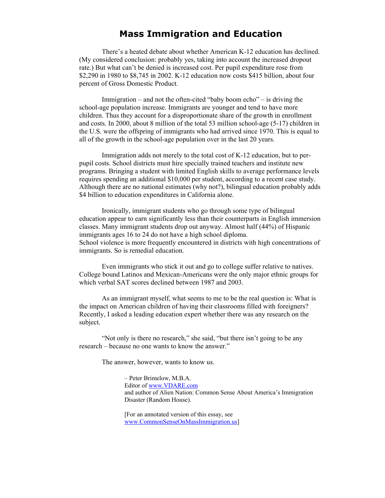#### **Mass Immigration and Education**

There's a heated debate about whether American K-12 education has declined. (My considered conclusion: probably yes, taking into account the increased dropout rate.) But what can't be denied is increased cost. Per pupil expenditure rose from \$2,290 in 1980 to \$8,745 in 2002. K-12 education now costs \$415 billion, about four percent of Gross Domestic Product.

Immigration – and not the often-cited "baby boom echo" – is driving the school-age population increase. Immigrants are younger and tend to have more children. Thus they account for a disproportionate share of the growth in enrollment and costs. In 2000, about 8 million of the total 53 million school-age (5-17) children in the U.S. were the offspring of immigrants who had arrived since 1970. This is equal to all of the growth in the school-age population over in the last 20 years.

Immigration adds not merely to the total cost of K-12 education, but to perpupil costs. School districts must hire specially trained teachers and institute new programs. Bringing a student with limited English skills to average performance levels requires spending an additional \$10,000 per student, according to a recent case study. Although there are no national estimates (why not?), bilingual education probably adds \$4 billion to education expenditures in California alone.

Ironically, immigrant students who go through some type of bilingual education appear to earn significantly less than their counterparts in English immersion classes. Many immigrant students drop out anyway. Almost half (44%) of Hispanic immigrants ages 16 to 24 do not have a high school diploma. School violence is more frequently encountered in districts with high concentrations of immigrants. So is remedial education.

Even immigrants who stick it out and go to college suffer relative to natives. College bound Latinos and Mexican-Americans were the only major ethnic groups for which verbal SAT scores declined between 1987 and 2003.

As an immigrant myself, what seems to me to be the real question is: What is the impact on American children of having their classrooms filled with foreigners? Recently, I asked a leading education expert whether there was any research on the subject.

"Not only is there no research," she said, "but there isn't going to be any research – because no one wants to know the answer."

The answer, however, wants to know us.

– Peter Brimelow, M.B.A. Editor of [www.VDARE.com](http://www.vdare.com/)  and author of Alien Nation: Common Sense About America's Immigration Disaster (Random House).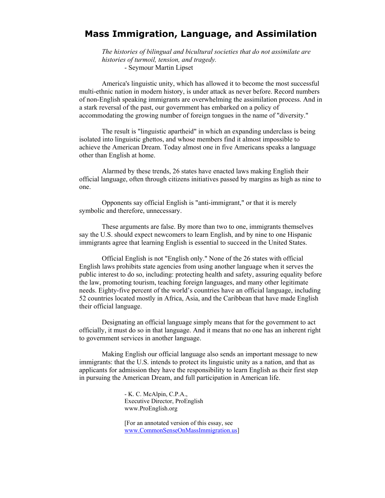#### **Mass Immigration, Language, and Assimilation**

*The histories of bilingual and bicultural societies that do not assimilate are histories of turmoil, tension, and tragedy.*  - Seymour Martin Lipset

America's linguistic unity, which has allowed it to become the most successful multi-ethnic nation in modern history, is under attack as never before. Record numbers of non-English speaking immigrants are overwhelming the assimilation process. And in a stark reversal of the past, our government has embarked on a policy of accommodating the growing number of foreign tongues in the name of "diversity."

The result is "linguistic apartheid" in which an expanding underclass is being isolated into linguistic ghettos, and whose members find it almost impossible to achieve the American Dream. Today almost one in five Americans speaks a language other than English at home.

Alarmed by these trends, 26 states have enacted laws making English their official language, often through citizens initiatives passed by margins as high as nine to one.

Opponents say official English is "anti-immigrant," or that it is merely symbolic and therefore, unnecessary.

These arguments are false. By more than two to one, immigrants themselves say the U.S. should expect newcomers to learn English, and by nine to one Hispanic immigrants agree that learning English is essential to succeed in the United States.

Official English is not "English only." None of the 26 states with official English laws prohibits state agencies from using another language when it serves the public interest to do so, including: protecting health and safety, assuring equality before the law, promoting tourism, teaching foreign languages, and many other legitimate needs. Eighty-five percent of the world's countries have an official language, including 52 countries located mostly in Africa, Asia, and the Caribbean that have made English their official language.

Designating an official language simply means that for the government to act officially, it must do so in that language. And it means that no one has an inherent right to government services in another language.

Making English our official language also sends an important message to new immigrants: that the U.S. intends to protect its linguistic unity as a nation, and that as applicants for admission they have the responsibility to learn English as their first step in pursuing the American Dream, and full participation in American life.

> - K. C. McAlpin, C.P.A., Executive Director, ProEnglish www.ProEnglish.org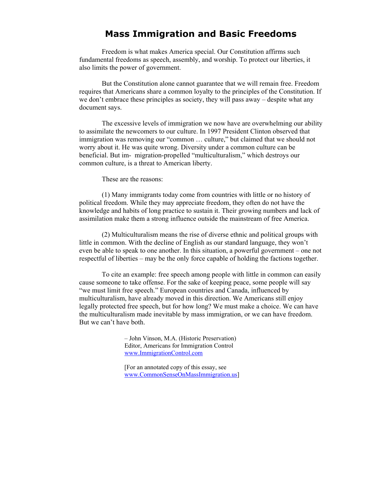#### **Mass Immigration and Basic Freedoms**

Freedom is what makes America special. Our Constitution affirms such fundamental freedoms as speech, assembly, and worship. To protect our liberties, it also limits the power of government.

 But the Constitution alone cannot guarantee that we will remain free. Freedom requires that Americans share a common loyalty to the principles of the Constitution. If we don't embrace these principles as society, they will pass away – despite what any document says.

 The excessive levels of immigration we now have are overwhelming our ability to assimilate the newcomers to our culture. In 1997 President Clinton observed that immigration was removing our "common … culture," but claimed that we should not worry about it. He was quite wrong. Diversity under a common culture can be beneficial. But im- migration-propelled "multiculturalism," which destroys our common culture, is a threat to American liberty.

These are the reasons:

 (1) Many immigrants today come from countries with little or no history of political freedom. While they may appreciate freedom, they often do not have the knowledge and habits of long practice to sustain it. Their growing numbers and lack of assimilation make them a strong influence outside the mainstream of free America.

 (2) Multiculturalism means the rise of diverse ethnic and political groups with little in common. With the decline of English as our standard language, they won't even be able to speak to one another. In this situation, a powerful government – one not respectful of liberties – may be the only force capable of holding the factions together.

 To cite an example: free speech among people with little in common can easily cause someone to take offense. For the sake of keeping peace, some people will say "we must limit free speech." European countries and Canada, influenced by multiculturalism, have already moved in this direction. We Americans still enjoy legally protected free speech, but for how long? We must make a choice. We can have the multiculturalism made inevitable by mass immigration, or we can have freedom. But we can't have both.

> – John Vinson, M.A. (Historic Preservation) Editor, Americans for Immigration Control [www.ImmigrationControl.com](http://www.immigrationcontrol.com/)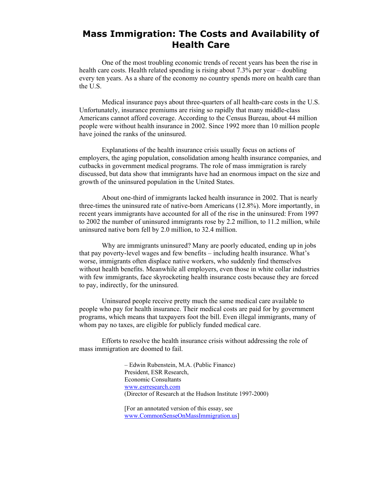#### **Mass Immigration: The Costs and Availability of Health Care**

One of the most troubling economic trends of recent years has been the rise in health care costs. Health related spending is rising about 7.3% per year – doubling every ten years. As a share of the economy no country spends more on health care than the U.S.

Medical insurance pays about three-quarters of all health-care costs in the U.S. Unfortunately, insurance premiums are rising so rapidly that many middle-class Americans cannot afford coverage. According to the Census Bureau, about 44 million people were without health insurance in 2002. Since 1992 more than 10 million people have joined the ranks of the uninsured.

Explanations of the health insurance crisis usually focus on actions of employers, the aging population, consolidation among health insurance companies, and cutbacks in government medical programs. The role of mass immigration is rarely discussed, but data show that immigrants have had an enormous impact on the size and growth of the uninsured population in the United States.

About one-third of immigrants lacked health insurance in 2002. That is nearly three-times the uninsured rate of native-born Americans (12.8%). More importantly, in recent years immigrants have accounted for all of the rise in the uninsured: From 1997 to 2002 the number of uninsured immigrants rose by 2.2 million, to 11.2 million, while uninsured native born fell by 2.0 million, to 32.4 million.

Why are immigrants uninsured? Many are poorly educated, ending up in jobs that pay poverty-level wages and few benefits – including health insurance. What's worse, immigrants often displace native workers, who suddenly find themselves without health benefits. Meanwhile all employers, even those in white collar industries with few immigrants, face skyrocketing health insurance costs because they are forced to pay, indirectly, for the uninsured.

Uninsured people receive pretty much the same medical care available to people who pay for health insurance. Their medical costs are paid for by government programs, which means that taxpayers foot the bill. Even illegal immigrants, many of whom pay no taxes, are eligible for publicly funded medical care.

Efforts to resolve the health insurance crisis without addressing the role of mass immigration are doomed to fail.

> – Edwin Rubenstein, M.A. (Public Finance) President, ESR Research, Economic Consultants [www.esrresearch.com](http://www.esrresearch.com/) (Director of Research at the Hudson Institute 1997-2000)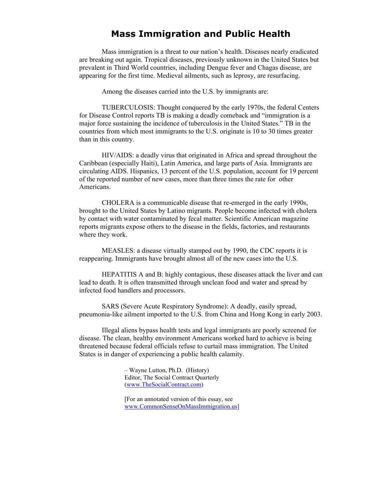#### **Mass Immigration and Public Health**

Mass immigration is a threat to our nation's health. Diseases nearly eradicated are breaking out again. Tropical diseases, previously unknown in the United States but prevalent in Third World countries, including Dengue fever and Chagas disease, are appearing for the first time. Medieval ailments, such as leprosy, are resurfacing.

Among the diseases carried into the U.S. by immigrants are:

TUBERCULOSIS: Thought conquered by the early 1970s, the federal Centers for Disease Control reports TB is making a deadly comeback and "immigration is a major force sustaining the incidence of tuberculosis in the United States." TB in the countries from which most immigrants to the U.S. originate is 10 to 30 times greater than in this country.

HIV/AIDS: a deadly virus that originated in Africa and spread throughout the Caribbean (especially Haiti), Latin America, and large parts of Asia. Immigrants are circulating AIDS. Hispanics, 13 percent of the U.S. population, account for 19 percent of the reported number of new cases, more than three times the rate for other Americans.

CHOLERA is a communicable disease that re-emerged in the early 1990s, brought to the United States by Latino migrants. People become infected with cholera by contact with water contaminated by fecal matter. Scientific American magazine reports migrants expose others to the disease in the fields, factories, and restaurants where they work.

MEASLES: a disease virtually stamped out by 1990, the CDC reports it is reappearing. Immigrants have brought almost all of the new cases into the U.S.

HEPATITIS A and B: highly contagious, these diseases attack the liver and can lead to death. It is often transmitted through unclean food and water and spread by infected food handlers and processors.

SARS (Severe Acute Respiratory Syndrome): A deadly, easily spread, pneumonia-like ailment imported to the U.S. from China and Hong Kong in early 2003.

Illegal aliens bypass health tests and legal immigrants are poorly screened for disease. The clean, healthy environment Americans worked hard to achieve is being threatened because federal officials refuse to curtail mass immigration. The United States is in danger of experiencing a public health calamity.

> – Wayne Lutton, Ph.D. (History) Editor, The Social Contract Quarterly [\(www.TheSocialContract.com\)](http://www.thesocialcontract.com/)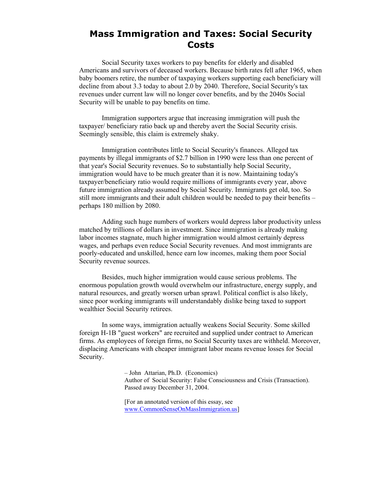#### **Mass Immigration and Taxes: Social Security Costs**

Social Security taxes workers to pay benefits for elderly and disabled Americans and survivors of deceased workers. Because birth rates fell after 1965, when baby boomers retire, the number of taxpaying workers supporting each beneficiary will decline from about 3.3 today to about 2.0 by 2040. Therefore, Social Security's tax revenues under current law will no longer cover benefits, and by the 2040s Social Security will be unable to pay benefits on time.

Immigration supporters argue that increasing immigration will push the taxpayer/ beneficiary ratio back up and thereby avert the Social Security crisis. Seemingly sensible, this claim is extremely shaky.

Immigration contributes little to Social Security's finances. Alleged tax payments by illegal immigrants of \$2.7 billion in 1990 were less than one percent of that year's Social Security revenues. So to substantially help Social Security, immigration would have to be much greater than it is now. Maintaining today's taxpayer/beneficiary ratio would require millions of immigrants every year, above future immigration already assumed by Social Security. Immigrants get old, too. So still more immigrants and their adult children would be needed to pay their benefits – perhaps 180 million by 2080.

Adding such huge numbers of workers would depress labor productivity unless matched by trillions of dollars in investment. Since immigration is already making labor incomes stagnate, much higher immigration would almost certainly depress wages, and perhaps even reduce Social Security revenues. And most immigrants are poorly-educated and unskilled, hence earn low incomes, making them poor Social Security revenue sources.

Besides, much higher immigration would cause serious problems. The enormous population growth would overwhelm our infrastructure, energy supply, and natural resources, and greatly worsen urban sprawl. Political conflict is also likely, since poor working immigrants will understandably dislike being taxed to support wealthier Social Security retirees.

In some ways, immigration actually weakens Social Security. Some skilled foreign H-1B "guest workers" are recruited and supplied under contract to American firms. As employees of foreign firms, no Social Security taxes are withheld. Moreover, displacing Americans with cheaper immigrant labor means revenue losses for Social Security.

> – John Attarian, Ph.D. (Economics) Author of Social Security: False Consciousness and Crisis (Transaction). Passed away December 31, 2004.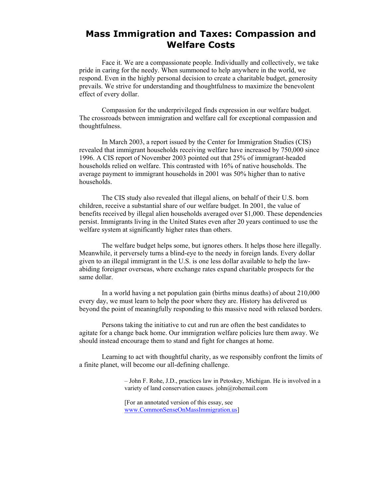#### **Mass Immigration and Taxes: Compassion and Welfare Costs**

Face it. We are a compassionate people. Individually and collectively, we take pride in caring for the needy. When summoned to help anywhere in the world, we respond. Even in the highly personal decision to create a charitable budget, generosity prevails. We strive for understanding and thoughtfulness to maximize the benevolent effect of every dollar.

 Compassion for the underprivileged finds expression in our welfare budget. The crossroads between immigration and welfare call for exceptional compassion and thoughtfulness.

 In March 2003, a report issued by the Center for Immigration Studies (CIS) revealed that immigrant households receiving welfare have increased by 750,000 since 1996. A CIS report of November 2003 pointed out that 25% of immigrant-headed households relied on welfare. This contrasted with 16% of native households. The average payment to immigrant households in 2001 was 50% higher than to native households.

The CIS study also revealed that illegal aliens, on behalf of their U.S. born children, receive a substantial share of our welfare budget. In 2001, the value of benefits received by illegal alien households averaged over \$1,000. These dependencies persist. Immigrants living in the United States even after 20 years continued to use the welfare system at significantly higher rates than others.

 The welfare budget helps some, but ignores others. It helps those here illegally. Meanwhile, it perversely turns a blind-eye to the needy in foreign lands. Every dollar given to an illegal immigrant in the U.S. is one less dollar available to help the lawabiding foreigner overseas, where exchange rates expand charitable prospects for the same dollar.

 In a world having a net population gain (births minus deaths) of about 210,000 every day, we must learn to help the poor where they are. History has delivered us beyond the point of meaningfully responding to this massive need with relaxed borders.

 Persons taking the initiative to cut and run are often the best candidates to agitate for a change back home. Our immigration welfare policies lure them away. We should instead encourage them to stand and fight for changes at home.

Learning to act with thoughtful charity, as we responsibly confront the limits of a finite planet, will become our all-defining challenge.

> – John F. Rohe, J.D., practices law in Petoskey, Michigan. He is involved in a variety of land conservation causes. john@rohemail.com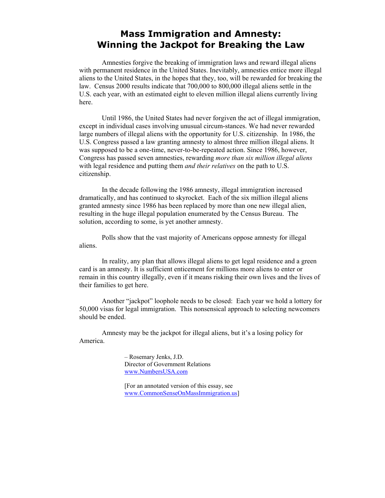#### **Mass Immigration and Amnesty: Winning the Jackpot for Breaking the Law**

Amnesties forgive the breaking of immigration laws and reward illegal aliens with permanent residence in the United States. Inevitably, amnesties entice more illegal aliens to the United States, in the hopes that they, too, will be rewarded for breaking the law. Census 2000 results indicate that 700,000 to 800,000 illegal aliens settle in the U.S. each year, with an estimated eight to eleven million illegal aliens currently living here.

Until 1986, the United States had never forgiven the act of illegal immigration, except in individual cases involving unusual circum-stances. We had never rewarded large numbers of illegal aliens with the opportunity for U.S. citizenship. In 1986, the U.S. Congress passed a law granting amnesty to almost three million illegal aliens. It was supposed to be a one-time, never-to-be-repeated action. Since 1986, however, Congress has passed seven amnesties, rewarding *more than six million illegal aliens* with legal residence and putting them *and their relatives* on the path to U.S. citizenship.

In the decade following the 1986 amnesty, illegal immigration increased dramatically, and has continued to skyrocket. Each of the six million illegal aliens granted amnesty since 1986 has been replaced by more than one new illegal alien, resulting in the huge illegal population enumerated by the Census Bureau. The solution, according to some, is yet another amnesty.

Polls show that the vast majority of Americans oppose amnesty for illegal aliens.

In reality, any plan that allows illegal aliens to get legal residence and a green card is an amnesty. It is sufficient enticement for millions more aliens to enter or remain in this country illegally, even if it means risking their own lives and the lives of their families to get here.

Another "jackpot" loophole needs to be closed: Each year we hold a lottery for 50,000 visas for legal immigration. This nonsensical approach to selecting newcomers should be ended.

 Amnesty may be the jackpot for illegal aliens, but it's a losing policy for America.

> – Rosemary Jenks, J.D. Director of Government Relations [www.NumbersUSA.com](http://www.numbersusa.com/)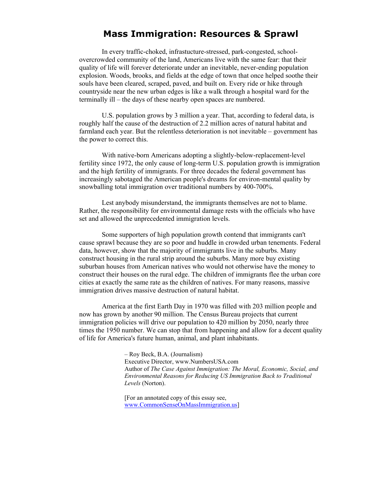#### **Mass Immigration: Resources & Sprawl**

 In every traffic-choked, infrastucture-stressed, park-congested, schoolovercrowded community of the land, Americans live with the same fear: that their quality of life will forever deteriorate under an inevitable, never-ending population explosion. Woods, brooks, and fields at the edge of town that once helped soothe their souls have been cleared, scraped, paved, and built on. Every ride or hike through countryside near the new urban edges is like a walk through a hospital ward for the terminally ill – the days of these nearby open spaces are numbered.

U.S. population grows by 3 million a year. That, according to federal data, is roughly half the cause of the destruction of 2.2 million acres of natural habitat and farmland each year. But the relentless deterioration is not inevitable – government has the power to correct this.

With native-born Americans adopting a slightly-below-replacement-level fertility since 1972, the only cause of long-term U.S. population growth is immigration and the high fertility of immigrants. For three decades the federal government has increasingly sabotaged the American people's dreams for environ-mental quality by snowballing total immigration over traditional numbers by 400-700%.

Lest anybody misunderstand, the immigrants themselves are not to blame. Rather, the responsibility for environmental damage rests with the officials who have set and allowed the unprecedented immigration levels.

Some supporters of high population growth contend that immigrants can't cause sprawl because they are so poor and huddle in crowded urban tenements. Federal data, however, show that the majority of immigrants live in the suburbs. Many construct housing in the rural strip around the suburbs. Many more buy existing suburban houses from American natives who would not otherwise have the money to construct their houses on the rural edge. The children of immigrants flee the urban core cities at exactly the same rate as the children of natives. For many reasons, massive immigration drives massive destruction of natural habitat.

America at the first Earth Day in 1970 was filled with 203 million people and now has grown by another 90 million. The Census Bureau projects that current immigration policies will drive our population to 420 million by 2050, nearly three times the 1950 number. We can stop that from happening and allow for a decent quality of life for America's future human, animal, and plant inhabitants.

> – Roy Beck, B.A. (Journalism) Executive Director, www.NumbersUSA.com Author of *The Case Against Immigration: The Moral, Economic, Social, and Environmental Reasons for Reducing US Immigration Back to Traditional Levels* (Norton).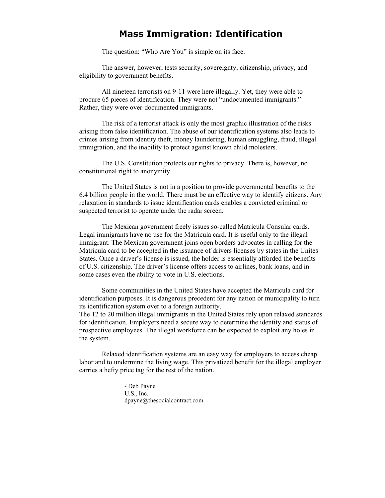#### **Mass Immigration: Identification**

The question: "Who Are You" is simple on its face.

The answer, however, tests security, sovereignty, citizenship, privacy, and eligibility to government benefits.

All nineteen terrorists on 9-11 were here illegally. Yet, they were able to procure 65 pieces of identification. They were not "undocumented immigrants." Rather, they were over-documented immigrants.

The risk of a terrorist attack is only the most graphic illustration of the risks arising from false identification. The abuse of our identification systems also leads to crimes arising from identity theft, money laundering, human smuggling, fraud, illegal immigration, and the inability to protect against known child molesters.

The U.S. Constitution protects our rights to privacy. There is, however, no constitutional right to anonymity.

The United States is not in a position to provide governmental benefits to the 6.4 billion people in the world. There must be an effective way to identify citizens. Any relaxation in standards to issue identification cards enables a convicted criminal or suspected terrorist to operate under the radar screen.

The Mexican government freely issues so-called Matricula Consular cards. Legal immigrants have no use for the Matricula card. It is useful only to the illegal immigrant. The Mexican government joins open borders advocates in calling for the Matricula card to be accepted in the issuance of drivers licenses by states in the Unites States. Once a driver's license is issued, the holder is essentially afforded the benefits of U.S. citizenship. The driver's license offers access to airlines, bank loans, and in some cases even the ability to vote in U.S. elections.

Some communities in the United States have accepted the Matricula card for identification purposes. It is dangerous precedent for any nation or municipality to turn its identification system over to a foreign authority. The 12 to 20 million illegal immigrants in the United States rely upon relaxed standards for identification. Employers need a secure way to determine the identity and status of prospective employees. The illegal workforce can be expected to exploit any holes in the system.

Relaxed identification systems are an easy way for employers to access cheap labor and to undermine the living wage. This privatized benefit for the illegal employer carries a hefty price tag for the rest of the nation.

> - Deb Payne U.S., Inc. dpayne@thesocialcontract.com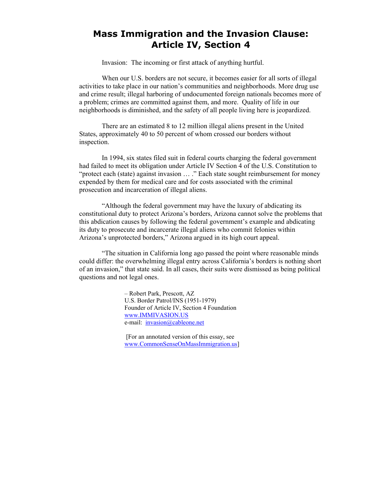#### **Mass Immigration and the Invasion Clause: Article IV, Section 4**

Invasion: The incoming or first attack of anything hurtful.

When our U.S. borders are not secure, it becomes easier for all sorts of illegal activities to take place in our nation's communities and neighborhoods. More drug use and crime result; illegal harboring of undocumented foreign nationals becomes more of a problem; crimes are committed against them, and more. Quality of life in our neighborhoods is diminished, and the safety of all people living here is jeopardized.

There are an estimated 8 to 12 million illegal aliens present in the United States, approximately 40 to 50 percent of whom crossed our borders without inspection.

In 1994, six states filed suit in federal courts charging the federal government had failed to meet its obligation under Article IV Section 4 of the U.S. Constitution to "protect each (state) against invasion … ." Each state sought reimbursement for money expended by them for medical care and for costs associated with the criminal prosecution and incarceration of illegal aliens.

"Although the federal government may have the luxury of abdicating its constitutional duty to protect Arizona's borders, Arizona cannot solve the problems that this abdication causes by following the federal government's example and abdicating its duty to prosecute and incarcerate illegal aliens who commit felonies within Arizona's unprotected borders," Arizona argued in its high court appeal.

"The situation in California long ago passed the point where reasonable minds could differ: the overwhelming illegal entry across California's borders is nothing short of an invasion," that state said. In all cases, their suits were dismissed as being political questions and not legal ones.

> – Robert Park, Prescott, AZ U.S. Border Patrol/INS (1951-1979) Founder of Article IV, Section 4 Foundation [www.IMMIVASION.US](http://www.immivasion.us/)  e-mail: [invasion@cableone.net](mailto:invasion@cableone.net)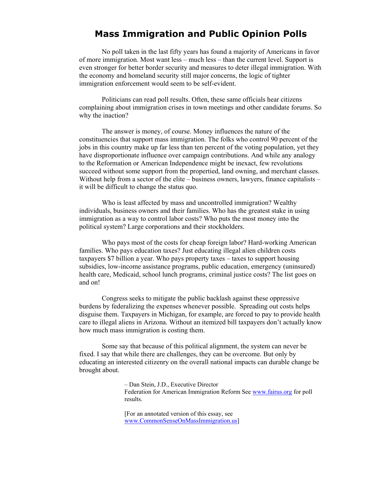#### **Mass Immigration and Public Opinion Polls**

No poll taken in the last fifty years has found a majority of Americans in favor of more immigration. Most want less – much less – than the current level. Support is even stronger for better border security and measures to deter illegal immigration. With the economy and homeland security still major concerns, the logic of tighter immigration enforcement would seem to be self-evident.

 Politicians can read poll results. Often, these same officials hear citizens complaining about immigration crises in town meetings and other candidate forums. So why the inaction?

 The answer is money, of course. Money influences the nature of the constituencies that support mass immigration. The folks who control 90 percent of the jobs in this country make up far less than ten percent of the voting population, yet they have disproportionate influence over campaign contributions. And while any analogy to the Reformation or American Independence might be inexact, few revolutions succeed without some support from the propertied, land owning, and merchant classes. Without help from a sector of the elite – business owners, lawyers, finance capitalists – it will be difficult to change the status quo.

 Who is least affected by mass and uncontrolled immigration? Wealthy individuals, business owners and their families. Who has the greatest stake in using immigration as a way to control labor costs? Who puts the most money into the political system? Large corporations and their stockholders.

 Who pays most of the costs for cheap foreign labor? Hard-working American families. Who pays education taxes? Just educating illegal alien children costs taxpayers \$7 billion a year. Who pays property taxes – taxes to support housing subsidies, low-income assistance programs, public education, emergency (uninsured) health care, Medicaid, school lunch programs, criminal justice costs? The list goes on and on!

 Congress seeks to mitigate the public backlash against these oppressive burdens by federalizing the expenses whenever possible. Spreading out costs helps disguise them. Taxpayers in Michigan, for example, are forced to pay to provide health care to illegal aliens in Arizona. Without an itemized bill taxpayers don't actually know how much mass immigration is costing them.

 Some say that because of this political alignment, the system can never be fixed. I say that while there are challenges, they can be overcome. But only by educating an interested citizenry on the overall national impacts can durable change be brought about.

> – Dan Stein, J.D., Executive Director Federation for American Immigration Reform See [www.fairus.org](http://www.fairus.org/) for poll results.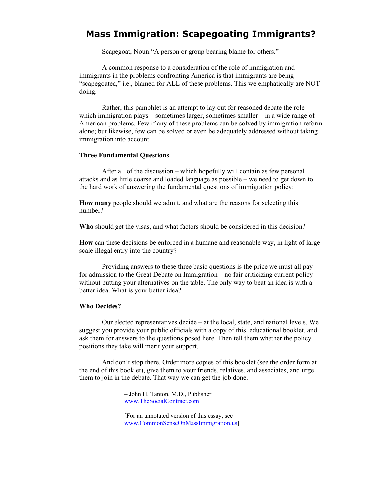#### **Mass Immigration: Scapegoating Immigrants?**

Scapegoat, Noun:"A person or group bearing blame for others."

 A common response to a consideration of the role of immigration and immigrants in the problems confronting America is that immigrants are being "scapegoated," i.e., blamed for ALL of these problems. This we emphatically are NOT doing.

Rather, this pamphlet is an attempt to lay out for reasoned debate the role which immigration plays – sometimes larger, sometimes smaller – in a wide range of American problems. Few if any of these problems can be solved by immigration reform alone; but likewise, few can be solved or even be adequately addressed without taking immigration into account.

#### **Three Fundamental Questions**

 After all of the discussion – which hopefully will contain as few personal attacks and as little coarse and loaded language as possible – we need to get down to the hard work of answering the fundamental questions of immigration policy:

**How many** people should we admit, and what are the reasons for selecting this number?

**Who** should get the visas, and what factors should be considered in this decision?

**How** can these decisions be enforced in a humane and reasonable way, in light of large scale illegal entry into the country?

 Providing answers to these three basic questions is the price we must all pay for admission to the Great Debate on Immigration – no fair criticizing current policy without putting your alternatives on the table. The only way to beat an idea is with a better idea. What is your better idea?

#### **Who Decides?**

 Our elected representatives decide – at the local, state, and national levels. We suggest you provide your public officials with a copy of this educational booklet, and ask them for answers to the questions posed here. Then tell them whether the policy positions they take will merit your support.

 And don't stop there. Order more copies of this booklet (see the order form at the end of this booklet), give them to your friends, relatives, and associates, and urge them to join in the debate. That way we can get the job done.

> – John H. Tanton, M.D., Publisher [www.TheSocialContract.com](http://www.thesocialcontract.com/)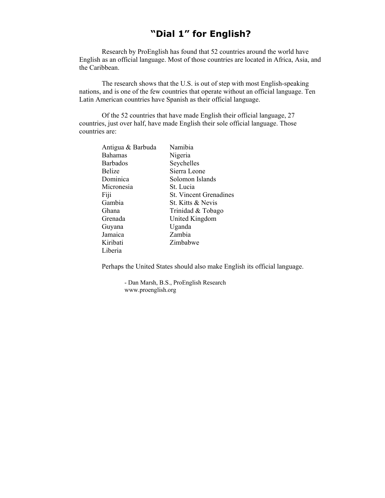### **"Dial 1" for English?**

Research by ProEnglish has found that 52 countries around the world have English as an official language. Most of those countries are located in Africa, Asia, and the Caribbean.

 The research shows that the U.S. is out of step with most English-speaking nations, and is one of the few countries that operate without an official language. Ten Latin American countries have Spanish as their official language.

 Of the 52 countries that have made English their official language, 27 countries, just over half, have made English their sole official language. Those countries are:

| Antigua & Barbuda | Namibia                       |
|-------------------|-------------------------------|
| <b>Bahamas</b>    | Nigeria                       |
| <b>Barbados</b>   | Seychelles                    |
| <b>Belize</b>     | Sierra Leone                  |
| Dominica          | Solomon Islands               |
| Micronesia        | St. Lucia                     |
| Fiji              | <b>St.</b> Vincent Grenadines |
| Gambia            | St. Kitts & Nevis             |
| Ghana             | Trinidad & Tobago             |
| Grenada           | United Kingdom                |
| Guyana            | Uganda                        |
| Jamaica           | Zambia                        |
| Kiribati          | Zimbabwe                      |
| Liberia           |                               |

Perhaps the United States should also make English its official language.

- Dan Marsh, B.S., ProEnglish Research www.proenglish.org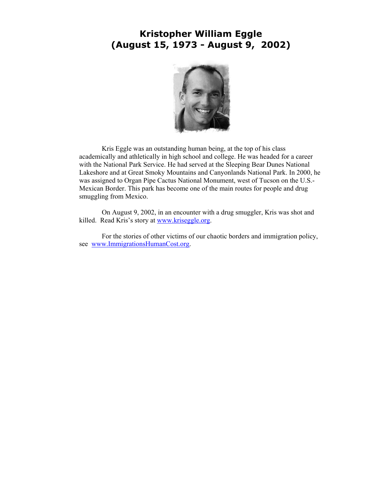#### **Kristopher William Eggle (August 15, 1973 - August 9, 2002)**



 Kris Eggle was an outstanding human being, at the top of his class academically and athletically in high school and college. He was headed for a career with the National Park Service. He had served at the Sleeping Bear Dunes National Lakeshore and at Great Smoky Mountains and Canyonlands National Park. In 2000, he was assigned to Organ Pipe Cactus National Monument, west of Tucson on the U.S.- Mexican Border. This park has become one of the main routes for people and drug smuggling from Mexico.

On August 9, 2002, in an encounter with a drug smuggler, Kris was shot and killed. Read Kris's story at [www.kriseggle.org.](http://www.kriseggle.org/)

For the stories of other victims of our chaotic borders and immigration policy, see [www.ImmigrationsHumanCost.org.](http://www.immigrationshumancost.org/)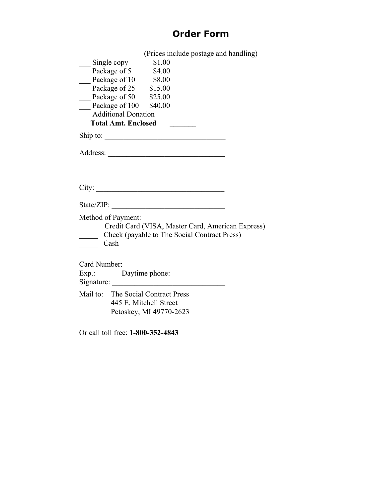# **Order Form**

(Prices include postage and handling)

| Single copy<br>Package of 5 \$4.00                                                                                             |  |                                                   |
|--------------------------------------------------------------------------------------------------------------------------------|--|---------------------------------------------------|
| Package of 10 \$8.00                                                                                                           |  |                                                   |
| Package of 25 $$15.00$                                                                                                         |  |                                                   |
| Package of 50 \$25.00                                                                                                          |  |                                                   |
| Package of 100 \$40.00                                                                                                         |  |                                                   |
| Additional Donation                                                                                                            |  |                                                   |
| <b>Total Amt. Enclosed</b>                                                                                                     |  |                                                   |
| Ship to:                                                                                                                       |  |                                                   |
|                                                                                                                                |  |                                                   |
| <u> 1989 - Johann John Stoff, deutscher Stoffen und der Stoffen und der Stoffen und der Stoffen und der Stoffen u</u><br>City: |  |                                                   |
| State/ZIP: $\_\_$                                                                                                              |  |                                                   |
| Method of Payment:<br>Check (payable to The Social Contract Press)<br>Cash                                                     |  | Credit Card (VISA, Master Card, American Express) |
|                                                                                                                                |  |                                                   |
|                                                                                                                                |  |                                                   |
|                                                                                                                                |  |                                                   |
| Mail to: The Social Contract Press                                                                                             |  |                                                   |
| 445 E. Mitchell Street                                                                                                         |  |                                                   |
| Petoskey, MI 49770-2623                                                                                                        |  |                                                   |
|                                                                                                                                |  |                                                   |

Or call toll free: **1-800-352-4843**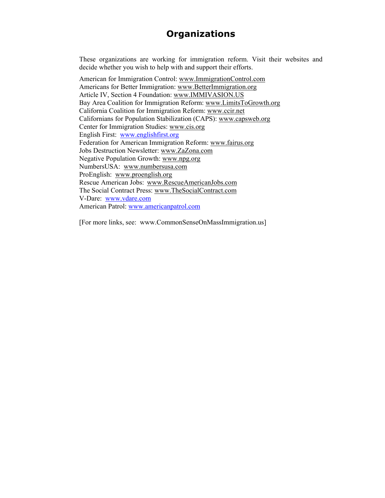## **Organizations**

These organizations are working for immigration reform. Visit their websites and decide whether you wish to help with and support their efforts.

American for Immigration Control: www.ImmigrationControl.com Americans for Better Immigration: www.BetterImmigration.org Article IV, Section 4 Foundation: www.IMMIVASION.US Bay Area Coalition for Immigration Reform: www.LimitsToGrowth.org California Coalition for Immigration Reform: www.ccir.net Californians for Population Stabilization (CAPS): www.capsweb.org Center for Immigration Studies: www.cis.org English First: [www.englishfirst.org](http://www.englishfirst.org/)  Federation for American Immigration Reform: www.fairus.org Jobs Destruction Newsletter: www.ZaZona.com Negative Population Growth: www.npg.org NumbersUSA: www.numbersusa.com ProEnglish: www.proenglish.org Rescue American Jobs: www.RescueAmericanJobs.com The Social Contract Press: www.TheSocialContract.com V-Dare: [www.vdare.com](http://www.vdare.com/)  American Patrol: [www.americanpatrol.com](http://www.americanpatrol.com/)

[For more links, see: www.CommonSenseOnMassImmigration.us]